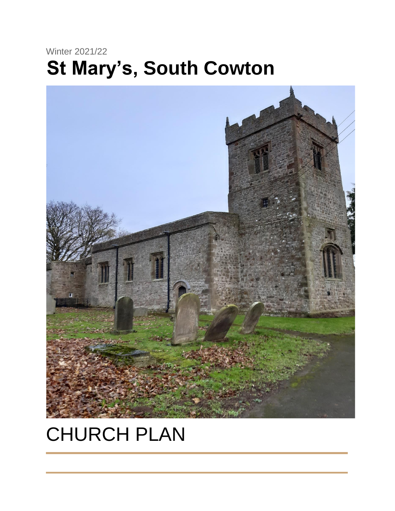# Winter 2021/22 **St Mary's, South Cowton**



# CHURCH PLAN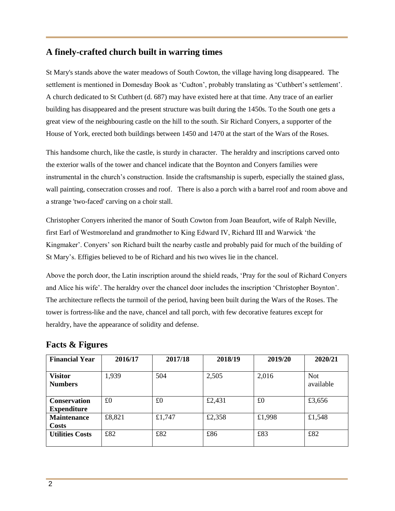#### **A finely-crafted church built in warring times**

St Mary's stands above the water meadows of South Cowton, the village having long disappeared. The settlement is mentioned in Domesday Book as 'Cudton', probably translating as 'Cuthbert's settlement'. A church dedicated to St Cuthbert (d. 687) may have existed here at that time. Any trace of an earlier building has disappeared and the present structure was built during the 1450s. To the South one gets a great view of the neighbouring castle on the hill to the south. Sir Richard Conyers, a supporter of the House of York, erected both buildings between 1450 and 1470 at the start of the Wars of the Roses.

This handsome church, like the castle, is sturdy in character. The heraldry and inscriptions carved onto the exterior walls of the tower and chancel indicate that the Boynton and Conyers families were instrumental in the church's construction. Inside the craftsmanship is superb, especially the stained glass, wall painting, consecration crosses and roof. There is also a porch with a barrel roof and room above and a strange 'two-faced' carving on a choir stall.

Christopher Conyers inherited the manor of South Cowton from Joan Beaufort, wife of Ralph Neville, first Earl of Westmoreland and grandmother to King Edward IV, Richard III and Warwick 'the Kingmaker'. Conyers' son Richard built the nearby castle and probably paid for much of the building of St Mary's. Effigies believed to be of Richard and his two wives lie in the chancel.

Above the porch door, the Latin inscription around the shield reads, 'Pray for the soul of Richard Conyers and Alice his wife'. The heraldry over the chancel door includes the inscription 'Christopher Boynton'. The architecture reflects the turmoil of the period, having been built during the Wars of the Roses. The tower is fortress-like and the nave, chancel and tall porch, with few decorative features except for heraldry, have the appearance of solidity and defense.

| <b>Financial Year</b>                     | 2016/17 | 2017/18 | 2018/19 | 2019/20 | 2020/21                 |
|-------------------------------------------|---------|---------|---------|---------|-------------------------|
| <b>Visitor</b><br><b>Numbers</b>          | 1,939   | 504     | 2,505   | 2,016   | <b>Not</b><br>available |
| <b>Conservation</b><br><b>Expenditure</b> | £0      | £0      | £2,431  | £0      | £3,656                  |
| <b>Maintenance</b><br><b>Costs</b>        | £8,821  | £1,747  | £2,358  | £1,998  | £1,548                  |
| <b>Utilities Costs</b>                    | £82     | £82     | £86     | £83     | £82                     |

### **Facts & Figures**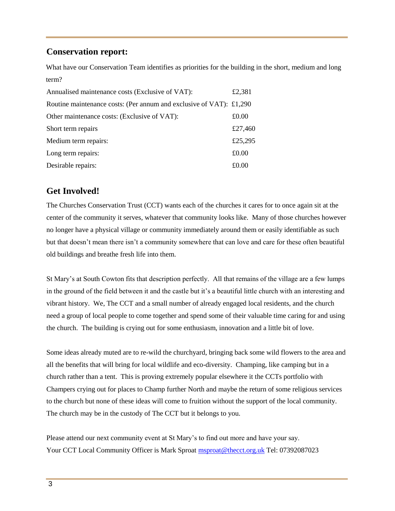#### **Conservation report:**

What have our Conservation Team identifies as priorities for the building in the short, medium and long term?

| Annualised maintenance costs (Exclusive of VAT):                    | £2,381  |
|---------------------------------------------------------------------|---------|
| Routine maintenance costs: (Per annum and exclusive of VAT): £1,290 |         |
| Other maintenance costs: (Exclusive of VAT):                        | £0.00   |
| Short term repairs                                                  | £27,460 |
| Medium term repairs:                                                | £25,295 |
| Long term repairs:                                                  | £0.00   |
| Desirable repairs:                                                  | £0.00   |

# **Get Involved!**

The Churches Conservation Trust (CCT) wants each of the churches it cares for to once again sit at the center of the community it serves, whatever that community looks like. Many of those churches however no longer have a physical village or community immediately around them or easily identifiable as such but that doesn't mean there isn't a community somewhere that can love and care for these often beautiful old buildings and breathe fresh life into them.

St Mary's at South Cowton fits that description perfectly. All that remains of the village are a few lumps in the ground of the field between it and the castle but it's a beautiful little church with an interesting and vibrant history. We, The CCT and a small number of already engaged local residents, and the church need a group of local people to come together and spend some of their valuable time caring for and using the church. The building is crying out for some enthusiasm, innovation and a little bit of love.

Some ideas already muted are to re-wild the churchyard, bringing back some wild flowers to the area and all the benefits that will bring for local wildlife and eco-diversity. Champing, like camping but in a church rather than a tent. This is proving extremely popular elsewhere it the CCTs portfolio with Champers crying out for places to Champ further North and maybe the return of some religious services to the church but none of these ideas will come to fruition without the support of the local community. The church may be in the custody of The CCT but it belongs to you.

Please attend our next community event at St Mary's to find out more and have your say. Your CCT Local Community Officer is Mark Sproat msproat@thecct.org.uk Tel: 07392087023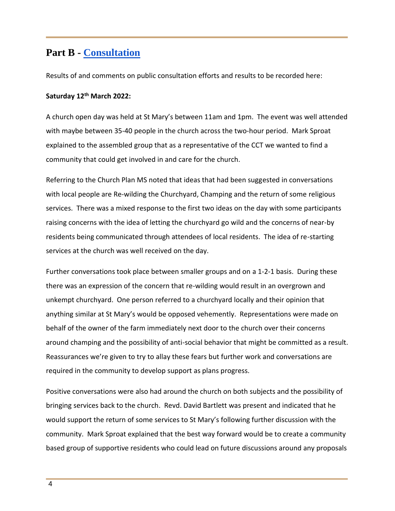# **Part B - Consultation**

Results of and comments on public consultation efforts and results to be recorded here:

#### **Saturday 12th March 2022:**

A church open day was held at St Mary's between 11am and 1pm. The event was well attended with maybe between 35-40 people in the church across the two-hour period. Mark Sproat explained to the assembled group that as a representative of the CCT we wanted to find a community that could get involved in and care for the church.

Referring to the Church Plan MS noted that ideas that had been suggested in conversations with local people are Re-wilding the Churchyard, Champing and the return of some religious services. There was a mixed response to the first two ideas on the day with some participants raising concerns with the idea of letting the churchyard go wild and the concerns of near-by residents being communicated through attendees of local residents. The idea of re-starting services at the church was well received on the day.

Further conversations took place between smaller groups and on a 1-2-1 basis. During these there was an expression of the concern that re-wilding would result in an overgrown and unkempt churchyard. One person referred to a churchyard locally and their opinion that anything similar at St Mary's would be opposed vehemently. Representations were made on behalf of the owner of the farm immediately next door to the church over their concerns around champing and the possibility of anti-social behavior that might be committed as a result. Reassurances we're given to try to allay these fears but further work and conversations are required in the community to develop support as plans progress.

Positive conversations were also had around the church on both subjects and the possibility of bringing services back to the church. Revd. David Bartlett was present and indicated that he would support the return of some services to St Mary's following further discussion with the community. Mark Sproat explained that the best way forward would be to create a community based group of supportive residents who could lead on future discussions around any proposals